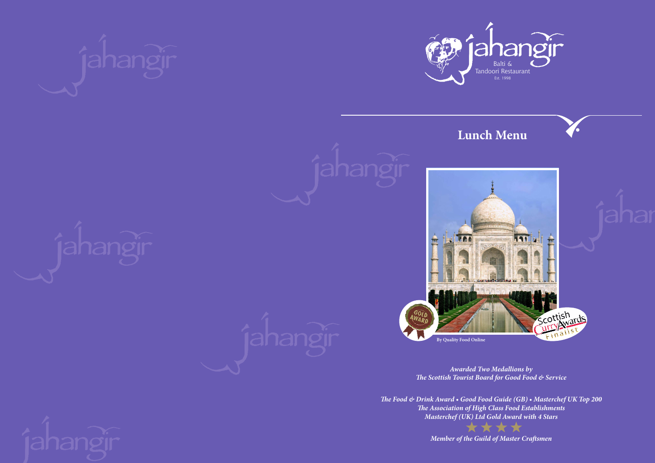## **Lunch Menu**







*Awarded Two Medallions by The Scottish Tourist Board for Good Food & Service*

*The Food & Drink Award • Good Food Guide (GB) • Masterchef UK Top 200 The Association of High Class Food Establishments Masterchef (UK) Ltd Gold Award with 4 Stars*

*Member of the Guild of Master Craftsmen*





**By Quality Food Online**